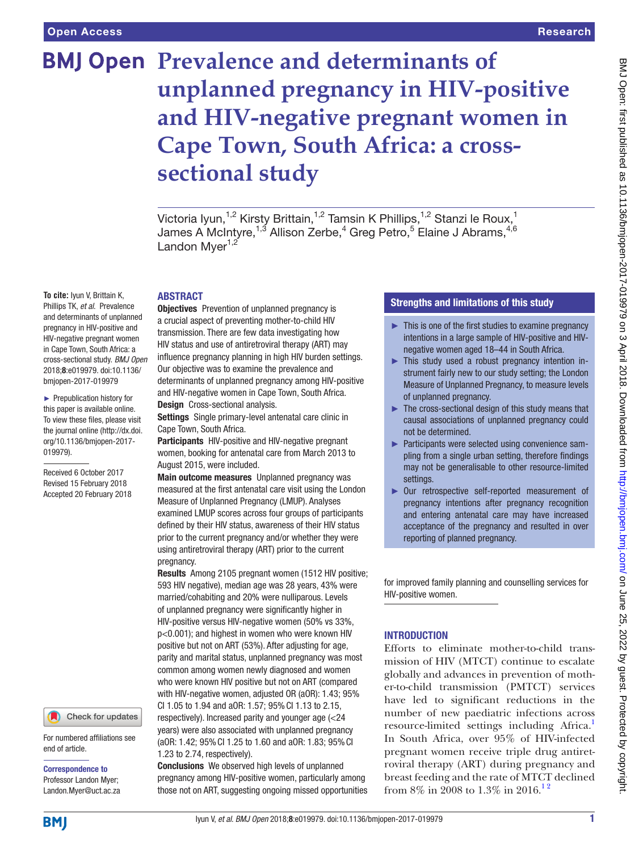# **BMJ Open Prevalence and determinants of unplanned pregnancy in HIV-positive and HIV-negative pregnant women in Cape Town, South Africa: a crosssectional study**

Victoria Iyun,<sup>1,2</sup> Kirsty Brittain,<sup>1,2</sup> Tamsin K Phillips,<sup>1,2</sup> Stanzi le Roux,<sup>1</sup> James A McIntyre, $^{1,3}$  Allison Zerbe, $^4$  Greg Petro, $^5$  Elaine J Abrams, $^{4,6}$ Landon Mver $1,2$ 

### **ABSTRACT**

**To cite:** Iyun V, Brittain K, Phillips TK, *et al*. Prevalence and determinants of unplanned pregnancy in HIV-positive and HIV-negative pregnant women in Cape Town, South Africa: a cross-sectional study. *BMJ Open* 2018;8:e019979. doi:10.1136/ bmjopen-2017-019979

► Prepublication history for this paper is available online. To view these files, please visit the journal online [\(http://dx.doi.](http://dx.doi.org/10.1136/bmjopen-2017-019979) [org/10.1136/bmjopen-2017-](http://dx.doi.org/10.1136/bmjopen-2017-019979) [019979\)](http://dx.doi.org/10.1136/bmjopen-2017-019979).

Received 6 October 2017 Revised 15 February 2018 Accepted 20 February 2018

#### Check for updates

For numbered affiliations see end of article.

Correspondence to Professor Landon Myer; Landon.Myer@uct.ac.za

**Objectives** Prevention of unplanned pregnancy is a crucial aspect of preventing mother-to-child HIV transmission. There are few data investigating how HIV status and use of antiretroviral therapy (ART) may influence pregnancy planning in high HIV burden settings. Our objective was to examine the prevalence and determinants of unplanned pregnancy among HIV-positive and HIV-negative women in Cape Town, South Africa. Design Cross-sectional analysis.

Settings Single primary-level antenatal care clinic in Cape Town, South Africa.

Participants HIV-positive and HIV-negative pregnant women, booking for antenatal care from March 2013 to August 2015, were included.

Main outcome measures Unplanned pregnancy was measured at the first antenatal care visit using the London Measure of Unplanned Pregnancy (LMUP). Analyses examined LMUP scores across four groups of participants defined by their HIV status, awareness of their HIV status prior to the current pregnancy and/or whether they were using antiretroviral therapy (ART) prior to the current pregnancy.

Results Among 2105 pregnant women (1512 HIV positive; 593 HIV negative), median age was 28 years, 43% were married/cohabiting and 20% were nulliparous. Levels of unplanned pregnancy were significantly higher in HIV-positive versus HIV-negative women (50% vs 33%, p<0.001); and highest in women who were known HIV positive but not on ART (53%). After adjusting for age, parity and marital status, unplanned pregnancy was most common among women newly diagnosed and women who were known HIV positive but not on ART (compared with HIV-negative women, adjusted OR (aOR): 1.43; 95% CI 1.05 to 1.94 and aOR: 1.57; 95%CI 1.13 to 2.15, respectively). Increased parity and younger age (<24

years) were also associated with unplanned pregnancy (aOR: 1.42; 95%CI 1.25 to 1.60 and aOR: 1.83; 95%CI 1.23 to 2.74, respectively).

Conclusions We observed high levels of unplanned pregnancy among HIV-positive women, particularly among those not on ART, suggesting ongoing missed opportunities

## Strengths and limitations of this study

- $\blacktriangleright$  This is one of the first studies to examine pregnancy intentions in a large sample of HIV-positive and HIVnegative women aged 18–44 in South Africa.
- ► This study used a robust pregnancy intention instrument fairly new to our study setting; the London Measure of Unplanned Pregnancy, to measure levels of unplanned pregnancy.
- ► The cross-sectional design of this study means that causal associations of unplanned pregnancy could not be determined.
- ► Participants were selected using convenience sampling from a single urban setting, therefore findings may not be generalisable to other resource-limited settings.
- ► Our retrospective self-reported measurement of pregnancy intentions after pregnancy recognition and entering antenatal care may have increased acceptance of the pregnancy and resulted in over reporting of planned pregnancy.

for improved family planning and counselling services for HIV-positive women.

## **INTRODUCTION**

Efforts to eliminate mother-to-child transmission of HIV (MTCT) continue to escalate globally and advances in prevention of mother-to-child transmission (PMTCT) services have led to significant reductions in the number of new paediatric infections across resource-limited settings including Africa.<sup>1</sup> In South Africa, over 95% of HIV-infected pregnant women receive triple drug antiretroviral therapy (ART) during pregnancy and breast feeding and the rate of MTCT declined from 8% in 2008 to 1.3% in 2016.<sup>12</sup>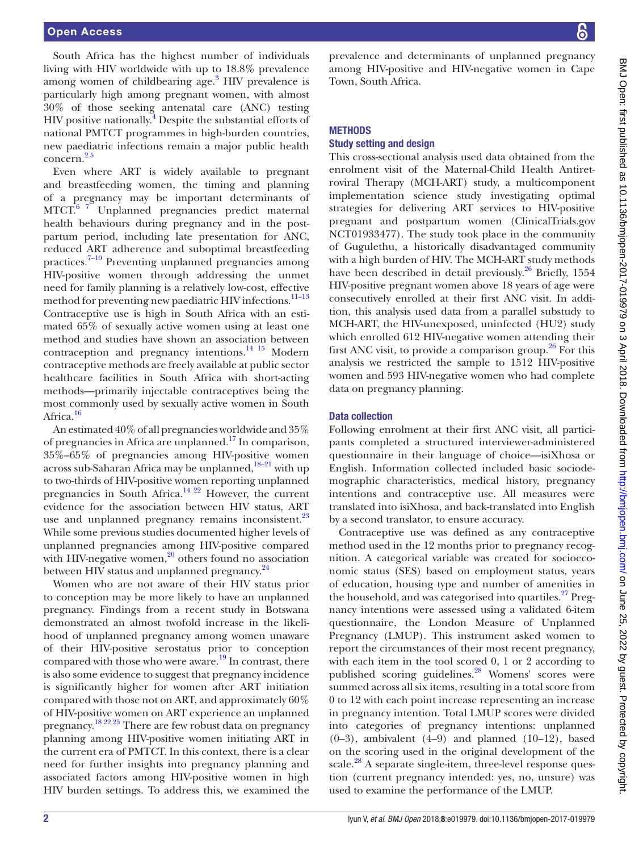South Africa has the highest number of individuals living with HIV worldwide with up to 18.8% prevalence among women of childbearing  $age.^3$  $age.^3$  HIV prevalence is particularly high among pregnant women, with almost 30% of those seeking antenatal care (ANC) testing HIV positive nationally.<sup>[4](#page-8-2)</sup> Despite the substantial efforts of national PMTCT programmes in high-burden countries, new paediatric infections remain a major public health concern.[2 5](#page-8-3)

Even where ART is widely available to pregnant and breastfeeding women, the timing and planning of a pregnancy may be important determinants of MTCT.<sup>6</sup> <sup>7</sup> Unplanned pregnancies predict maternal health behaviours during pregnancy and in the postpartum period, including late presentation for ANC, reduced ART adherence and suboptimal breastfeeding practices.[7–10](#page-8-5) Preventing unplanned pregnancies among HIV-positive women through addressing the unmet need for family planning is a relatively low-cost, effective method for preventing new paediatric HIV infections.<sup>11-13</sup> Contraceptive use is high in South Africa with an estimated 65% of sexually active women using at least one method and studies have shown an association between contraception and pregnancy intentions. $^{14}$  15 Modern contraceptive methods are freely available at public sector healthcare facilities in South Africa with short-acting methods—primarily injectable contraceptives being the most commonly used by sexually active women in South Africa.<sup>16</sup>

An estimated 40% of all pregnancies worldwide and 35% of pregnancies in Africa are unplanned.<sup>[17](#page-9-1)</sup> In comparison, 35%–65% of pregnancies among HIV-positive women across sub-Saharan Africa may be unplanned,<sup>18-21</sup> with up to two-thirds of HIV-positive women reporting unplanned pregnancies in South Africa.[14 22](#page-8-7) However, the current evidence for the association between HIV status, ART use and unplanned pregnancy remains inconsistent.<sup>23</sup> While some previous studies documented higher levels of unplanned pregnancies among HIV-positive compared with HIV-negative women, $^{20}$  others found no association between HIV status and unplanned pregnancy.<sup>[24](#page-9-5)</sup>

Women who are not aware of their HIV status prior to conception may be more likely to have an unplanned pregnancy. Findings from a recent study in Botswana demonstrated an almost twofold increase in the likelihood of unplanned pregnancy among women unaware of their HIV-positive serostatus prior to conception compared with those who were aware.<sup>19</sup> In contrast, there is also some evidence to suggest that pregnancy incidence is significantly higher for women after ART initiation compared with those not on ART, and approximately 60% of HIV-positive women on ART experience an unplanned pregnancy.[18 22 25](#page-9-2) There are few robust data on pregnancy planning among HIV-positive women initiating ART in the current era of PMTCT. In this context, there is a clear need for further insights into pregnancy planning and associated factors among HIV-positive women in high HIV burden settings. To address this, we examined the

prevalence and determinants of unplanned pregnancy among HIV-positive and HIV-negative women in Cape Town, South Africa.

#### **METHODS**

## Study setting and design

This cross-sectional analysis used data obtained from the enrolment visit of the Maternal-Child Health Antiretroviral Therapy (MCH-ART) study, a multicomponent implementation science study investigating optimal strategies for delivering ART services to HIV-positive pregnant and postpartum women (ClinicalTrials.gov NCT01933477). The study took place in the community of Gugulethu, a historically disadvantaged community with a high burden of HIV. The MCH-ART study methods have been described in detail previously.<sup>26</sup> Briefly, 1554 HIV-positive pregnant women above 18 years of age were consecutively enrolled at their first ANC visit. In addition, this analysis used data from a parallel substudy to MCH-ART, the HIV-unexposed, uninfected (HU2) study which enrolled 612 HIV-negative women attending their first ANC visit, to provide a comparison group.<sup>[26](#page-9-7)</sup> For this analysis we restricted the sample to 1512 HIV-positive women and 593 HIV-negative women who had complete data on pregnancy planning.

#### Data collection

Following enrolment at their first ANC visit, all participants completed a structured interviewer-administered questionnaire in their language of choice—isiXhosa or English. Information collected included basic sociodemographic characteristics, medical history, pregnancy intentions and contraceptive use. All measures were translated into isiXhosa, and back-translated into English by a second translator, to ensure accuracy.

Contraceptive use was defined as any contraceptive method used in the 12 months prior to pregnancy recognition. A categorical variable was created for socioeconomic status (SES) based on employment status, years of education, housing type and number of amenities in the household, and was categorised into quartiles.<sup>27</sup> Pregnancy intentions were assessed using a validated 6-item questionnaire, the London Measure of Unplanned Pregnancy (LMUP). This instrument asked women to report the circumstances of their most recent pregnancy, with each item in the tool scored 0, 1 or 2 according to published scoring guidelines.<sup>[28](#page-9-9)</sup> Womens' scores were summed across all six items, resulting in a total score from 0 to 12 with each point increase representing an increase in pregnancy intention. Total LMUP scores were divided into categories of pregnancy intentions: unplanned  $(0-3)$ , ambivalent  $(4-9)$  and planned  $(10-12)$ , based on the scoring used in the original development of the scale.<sup>[28](#page-9-9)</sup> A separate single-item, three-level response question (current pregnancy intended: yes, no, unsure) was used to examine the performance of the LMUP.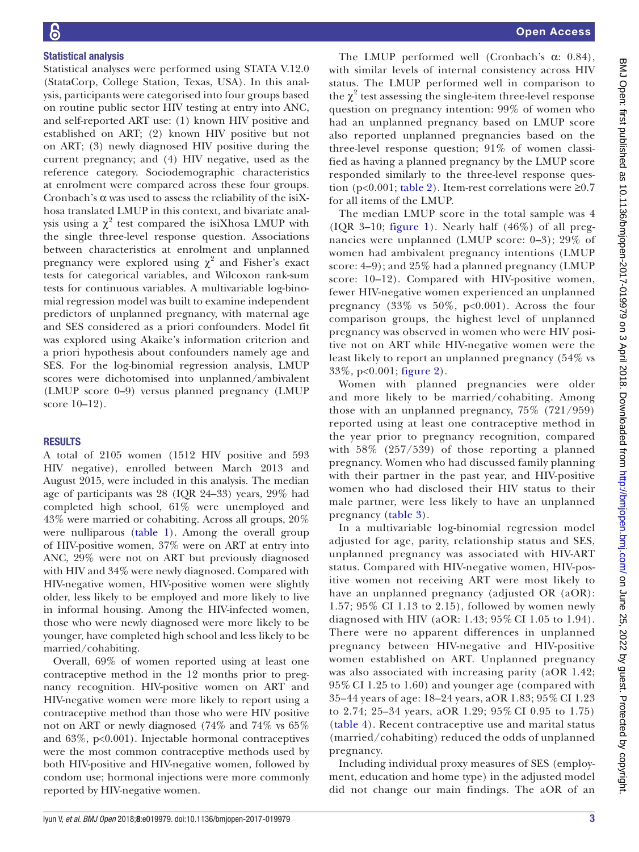#### Statistical analysis

Statistical analyses were performed using STATA V.12.0 (StataCorp, College Station, Texas, USA). In this analysis, participants were categorised into four groups based on routine public sector HIV testing at entry into ANC, and self-reported ART use: (1) known HIV positive and established on ART; (2) known HIV positive but not on ART; (3) newly diagnosed HIV positive during the current pregnancy; and (4) HIV negative, used as the reference category. Sociodemographic characteristics at enrolment were compared across these four groups. Cronbach's  $\alpha$  was used to assess the reliability of the isiXhosa translated LMUP in this context, and bivariate analysis using a  $\chi^2$  test compared the isiXhosa LMUP with the single three-level response question. Associations between characteristics at enrolment and unplanned pregnancy were explored using  $\chi^2$  and Fisher's exact tests for categorical variables, and Wilcoxon rank-sum tests for continuous variables. A multivariable log-binomial regression model was built to examine independent predictors of unplanned pregnancy, with maternal age and SES considered as a priori confounders. Model fit was explored using Akaike's information criterion and a priori hypothesis about confounders namely age and SES. For the log-binomial regression analysis, LMUP scores were dichotomised into unplanned/ambivalent (LMUP score 0–9) versus planned pregnancy (LMUP score 10–12).

#### **RESULTS**

A total of 2105 women (1512 HIV positive and 593 HIV negative), enrolled between March 2013 and August 2015, were included in this analysis. The median age of participants was 28 (IQR 24–33) years, 29% had completed high school, 61% were unemployed and 43% were married or cohabiting. Across all groups, 20% were nulliparous ([table](#page-3-0) 1). Among the overall group of HIV-positive women, 37% were on ART at entry into ANC, 29% were not on ART but previously diagnosed with HIV and 34% were newly diagnosed. Compared with HIV-negative women, HIV-positive women were slightly older, less likely to be employed and more likely to live in informal housing. Among the HIV-infected women, those who were newly diagnosed were more likely to be younger, have completed high school and less likely to be married/cohabiting.

Overall, 69% of women reported using at least one contraceptive method in the 12 months prior to pregnancy recognition. HIV-positive women on ART and HIV-negative women were more likely to report using a contraceptive method than those who were HIV positive not on ART or newly diagnosed (74% and 74% vs 65% and  $63\%$ ,  $p<0.001$ ). Injectable hormonal contraceptives were the most common contraceptive methods used by both HIV-positive and HIV-negative women, followed by condom use; hormonal injections were more commonly reported by HIV-negative women.

The LMUP performed well (Cronbach's  $\alpha$ : 0.84), with similar levels of internal consistency across HIV status. The LMUP performed well in comparison to the  $\chi^2$  test assessing the single-item three-level response question on pregnancy intention: 99% of women who had an unplanned pregnancy based on LMUP score also reported unplanned pregnancies based on the three-level response question; 91% of women classified as having a planned pregnancy by the LMUP score responded similarly to the three-level response question (p<0.001; [table](#page-4-0) 2). Item-rest correlations were  $\geq 0.7$ for all items of the LMUP.

The median LMUP score in the total sample was 4 (IQR 3–10; [figure](#page-4-1) 1). Nearly half (46%) of all pregnancies were unplanned (LMUP score: 0–3); 29% of women had ambivalent pregnancy intentions (LMUP score: 4–9); and 25% had a planned pregnancy (LMUP score: 10–12). Compared with HIV-positive women, fewer HIV-negative women experienced an unplanned pregnancy  $(33\% \text{ vs } 50\%, \text{ p<0.001})$ . Across the four comparison groups, the highest level of unplanned pregnancy was observed in women who were HIV positive not on ART while HIV-negative women were the least likely to report an unplanned pregnancy (54% vs 33%, p<0.001; [figure](#page-5-0) 2).

Women with planned pregnancies were older and more likely to be married/cohabiting. Among those with an unplanned pregnancy, 75% (721/959) reported using at least one contraceptive method in the year prior to pregnancy recognition, compared with 58% (257/539) of those reporting a planned pregnancy. Women who had discussed family planning with their partner in the past year, and HIV-positive women who had disclosed their HIV status to their male partner, were less likely to have an unplanned pregnancy [\(table](#page-6-0) 3).

In a multivariable log-binomial regression model adjusted for age, parity, relationship status and SES, unplanned pregnancy was associated with HIV-ART status. Compared with HIV-negative women, HIV-positive women not receiving ART were most likely to have an unplanned pregnancy (adjusted OR (aOR): 1.57; 95% CI 1.13 to 2.15), followed by women newly diagnosed with HIV (aOR: 1.43; 95% CI 1.05 to 1.94). There were no apparent differences in unplanned pregnancy between HIV-negative and HIV-positive women established on ART. Unplanned pregnancy was also associated with increasing parity (aOR 1.42; 95% CI 1.25 to 1.60) and younger age (compared with 35–44 years of age: 18–24 years, aOR 1.83; 95% CI 1.23 to 2.74; 25–34 years, aOR 1.29; 95% CI 0.95 to 1.75) ([table](#page-7-0) 4). Recent contraceptive use and marital status (married/cohabiting) reduced the odds of unplanned pregnancy.

Including individual proxy measures of SES (employment, education and home type) in the adjusted model did not change our main findings. The aOR of an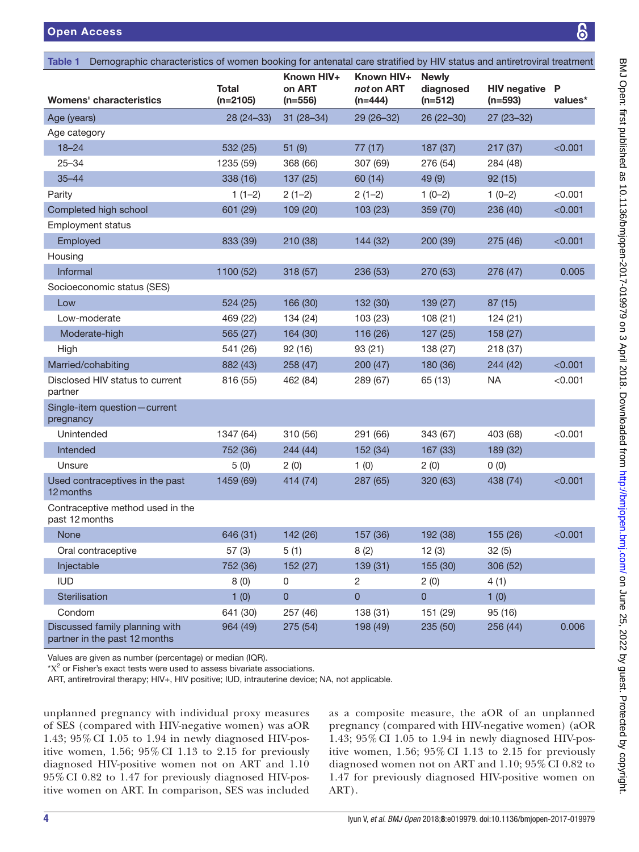<span id="page-3-0"></span>

| Demographic characteristics of women booking for antenatal care stratified by HIV status and antiretroviral treatment<br><b>Table 1</b> |                     |                                   |                                       |                                        |                                  |              |  |
|-----------------------------------------------------------------------------------------------------------------------------------------|---------------------|-----------------------------------|---------------------------------------|----------------------------------------|----------------------------------|--------------|--|
| <b>Womens' characteristics</b>                                                                                                          | Total<br>$(n=2105)$ | Known HIV+<br>on ART<br>$(n=556)$ | Known HIV+<br>not on ART<br>$(n=444)$ | <b>Newly</b><br>diagnosed<br>$(n=512)$ | <b>HIV negative</b><br>$(n=593)$ | P<br>values* |  |
| Age (years)                                                                                                                             | $28(24-33)$         | $31(28-34)$                       | 29 (26-32)                            | 26 (22-30)                             | $27(23 - 32)$                    |              |  |
| Age category                                                                                                                            |                     |                                   |                                       |                                        |                                  |              |  |
| $18 - 24$                                                                                                                               | 532 (25)            | 51(9)                             | 77(17)                                | 187 (37)                               | 217 (37)                         | < 0.001      |  |
| $25 - 34$                                                                                                                               | 1235 (59)           | 368 (66)                          | 307 (69)                              | 276 (54)                               | 284 (48)                         |              |  |
| $35 - 44$                                                                                                                               | 338 (16)            | 137 (25)                          | 60 (14)                               | 49 (9)                                 | 92(15)                           |              |  |
| Parity                                                                                                                                  | $1(1-2)$            | $2(1-2)$                          | $2(1-2)$                              | $1(0-2)$                               | $1(0-2)$                         | < 0.001      |  |
| Completed high school                                                                                                                   | 601 (29)            | 109 (20)                          | 103 (23)                              | 359 (70)                               | 236 (40)                         | < 0.001      |  |
| <b>Employment status</b>                                                                                                                |                     |                                   |                                       |                                        |                                  |              |  |
| Employed                                                                                                                                | 833 (39)            | 210 (38)                          | 144 (32)                              | 200 (39)                               | 275 (46)                         | < 0.001      |  |
| Housing                                                                                                                                 |                     |                                   |                                       |                                        |                                  |              |  |
| Informal                                                                                                                                | 1100 (52)           | 318 (57)                          | 236 (53)                              | 270 (53)                               | 276 (47)                         | 0.005        |  |
| Socioeconomic status (SES)                                                                                                              |                     |                                   |                                       |                                        |                                  |              |  |
| Low                                                                                                                                     | 524 (25)            | 166 (30)                          | 132 (30)                              | 139 (27)                               | 87 (15)                          |              |  |
| Low-moderate                                                                                                                            | 469 (22)            | 134 (24)                          | 103 (23)                              | 108(21)                                | 124(21)                          |              |  |
| Moderate-high                                                                                                                           | 565 (27)            | 164 (30)                          | 116 (26)                              | 127 (25)                               | 158 (27)                         |              |  |
| High                                                                                                                                    | 541 (26)            | 92(16)                            | 93(21)                                | 138 (27)                               | 218 (37)                         |              |  |
| Married/cohabiting                                                                                                                      | 882 (43)            | 258 (47)                          | 200(47)                               | 180 (36)                               | 244(42)                          | < 0.001      |  |
| Disclosed HIV status to current<br>partner                                                                                              | 816 (55)            | 462 (84)                          | 289 (67)                              | 65 (13)                                | <b>NA</b>                        | < 0.001      |  |
| Single-item question-current<br>pregnancy                                                                                               |                     |                                   |                                       |                                        |                                  |              |  |
| Unintended                                                                                                                              | 1347 (64)           | 310 (56)                          | 291 (66)                              | 343 (67)                               | 403 (68)                         | < 0.001      |  |
| Intended                                                                                                                                | 752 (36)            | 244 (44)                          | 152 (34)                              | 167 (33)                               | 189 (32)                         |              |  |
| Unsure                                                                                                                                  | 5(0)                | 2(0)                              | 1(0)                                  | 2(0)                                   | 0(0)                             |              |  |
| Used contraceptives in the past<br>12 months                                                                                            | 1459 (69)           | 414 (74)                          | 287 (65)                              | 320 (63)                               | 438 (74)                         | < 0.001      |  |
| Contraceptive method used in the<br>past 12 months                                                                                      |                     |                                   |                                       |                                        |                                  |              |  |
| <b>None</b>                                                                                                                             | 646 (31)            | 142 (26)                          | 157 (36)                              | 192 (38)                               | 155 (26)                         | < 0.001      |  |
| Oral contraceptive                                                                                                                      | 57(3)               | 5(1)                              | 8(2)                                  | 12(3)                                  | 32(5)                            |              |  |
| Injectable                                                                                                                              | 752 (36)            | 152 (27)                          | 139(31)                               | 155 (30)                               | 306 (52)                         |              |  |
| <b>IUD</b>                                                                                                                              | 8(0)                | $\pmb{0}$                         | 2                                     | 2(0)                                   | 4(1)                             |              |  |
| Sterilisation                                                                                                                           | 1(0)                | $\pmb{0}$                         | $\pmb{0}$                             | $\overline{0}$                         | 1(0)                             |              |  |
| Condom                                                                                                                                  | 641 (30)            | 257 (46)                          | 138 (31)                              | 151 (29)                               | 95 (16)                          |              |  |
| Discussed family planning with<br>partner in the past 12 months                                                                         | 964 (49)            | 275(54)                           | 198 (49)                              | 235 (50)                               | 256 (44)                         | 0.006        |  |
|                                                                                                                                         |                     |                                   |                                       |                                        |                                  |              |  |

Values are given as number (percentage) or median (IQR).

 $*{\rm X}^{2}$  or Fisher's exact tests were used to assess bivariate associations.

ART, antiretroviral therapy; HIV+, HIV positive; IUD, intrauterine device; NA, not applicable.

unplanned pregnancy with individual proxy measures of SES (compared with HIV-negative women) was aOR 1.43; 95% CI 1.05 to 1.94 in newly diagnosed HIV-positive women, 1.56; 95% CI 1.13 to 2.15 for previously diagnosed HIV-positive women not on ART and 1.10 95% CI 0.82 to 1.47 for previously diagnosed HIV-positive women on ART. In comparison, SES was included

as a composite measure, the aOR of an unplanned pregnancy (compared with HIV-negative women) (aOR 1.43; 95% CI 1.05 to 1.94 in newly diagnosed HIV-positive women, 1.56; 95% CI 1.13 to 2.15 for previously diagnosed women not on ART and 1.10; 95% CI 0.82 to 1.47 for previously diagnosed HIV-positive women on ART).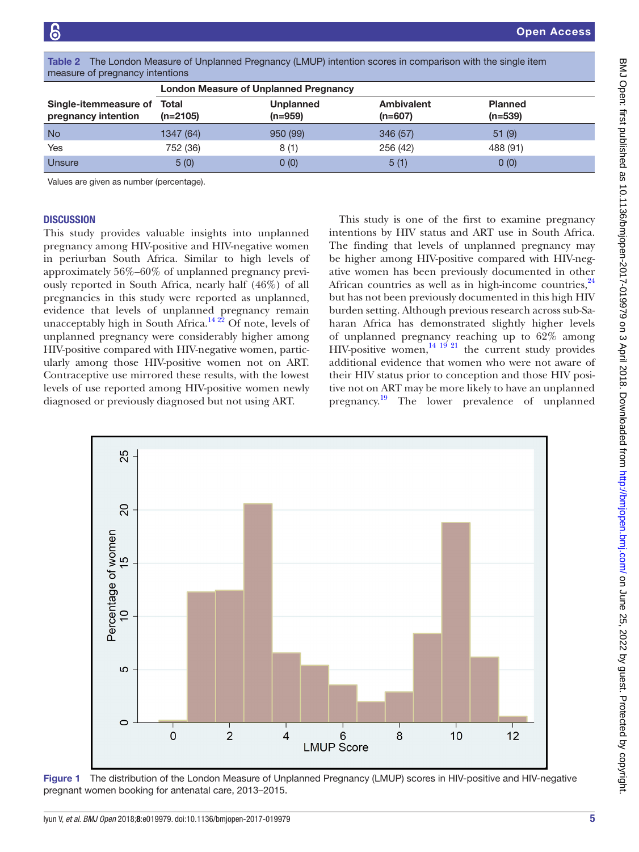|                                              | <b>London Measure of Unplanned Pregnancy</b> |                             |                                               |                             |  |  |  |
|----------------------------------------------|----------------------------------------------|-----------------------------|-----------------------------------------------|-----------------------------|--|--|--|
| Single-itemmeasure of<br>pregnancy intention | Total<br>$(n=2105)$                          | <b>Unplanned</b><br>(n=959) | <b>Ambivalent</b><br>$(n=607)$                | <b>Planned</b><br>$(n=539)$ |  |  |  |
| <b>No</b>                                    | 1347 (64)                                    | 950 (99)                    | 346 (57)                                      | 51(9)                       |  |  |  |
| Yes                                          | 752 (36)                                     | 8(1)                        | 256 (42)                                      | 488 (91)                    |  |  |  |
| Unsure                                       | 5(0)                                         | 0(0)                        | 5(1)                                          | 0(0)                        |  |  |  |
| Values are given as number (percentage).     |                                              |                             |                                               |                             |  |  |  |
|                                              |                                              |                             |                                               |                             |  |  |  |
| <b>DISCUSSION</b>                            |                                              |                             | This study is one of the first to examine pre |                             |  |  |  |

<span id="page-4-0"></span>Table 2 The London Measure of Unplanned Pregnancy (LMUP) intention scores in comparison with the single item measure

## **DISCUSS**

This study provides valuable insights into unplanned pregnancy among HIV-positive and HIV-negative women in periurban South Africa. Similar to high levels of approximately 56%–60% of unplanned pregnancy previously reported in South Africa, nearly half (46%) of all pregnancies in this study were reported as unplanned, evidence that levels of unplanned pregnancy remain unacceptably high in South Africa.<sup>14 22</sup> Of note, levels of unplanned pregnancy were considerably higher among HIV-positive compared with HIV-negative women, particularly among those HIV-positive women not on ART. Contraceptive use mirrored these results, with the lowest levels of use reported among HIV-positive women newly diagnosed or previously diagnosed but not using ART.

gnancy intentions by HIV status and ART use in South Africa. The finding that levels of unplanned pregnancy may be higher among HIV-positive compared with HIV-negative women has been previously documented in other African countries as well as in high-income countries, $^{24}$  $^{24}$  $^{24}$ but has not been previously documented in this high HIV burden setting. Although previous research across sub-Saharan Africa has demonstrated slightly higher levels of unplanned pregnancy reaching up to 62% among HIV-positive women,  $\frac{14}{19}$   $\frac{19}{21}$  the current study provides additional evidence that women who were not aware of their HIV status prior to conception and those HIV positive not on ART may be more likely to have an unplanned pregnancy.<sup>[19](#page-9-6)</sup> The lower prevalence of unplanned



<span id="page-4-1"></span>Figure 1 The distribution of the London Measure of Unplanned Pregnancy (LMUP) scores in HIV-positive and HIV-negative pregnant women booking for antenatal care, 2013–2015.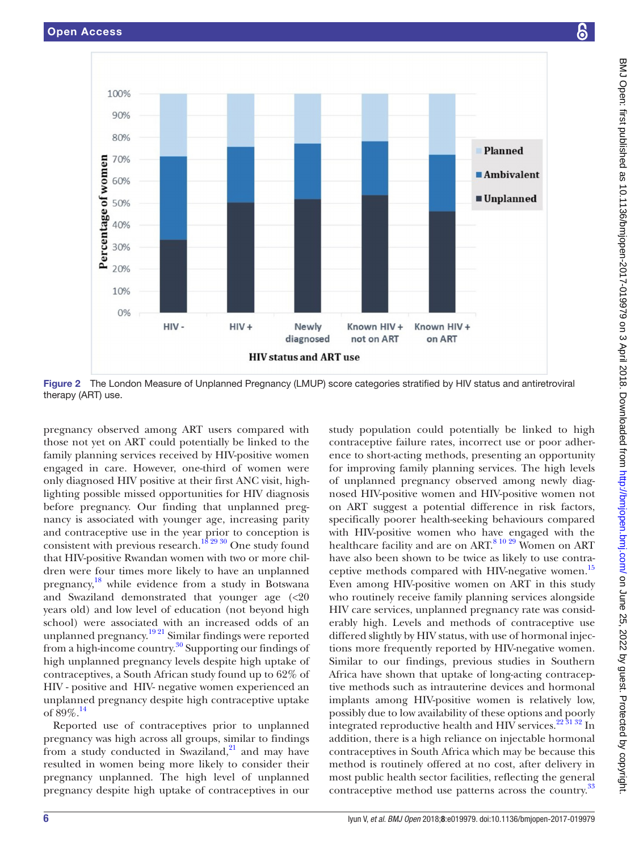

<span id="page-5-0"></span>Figure 2 The London Measure of Unplanned Pregnancy (LMUP) score categories stratified by HIV status and antiretroviral therapy (ART) use.

pregnancy observed among ART users compared with those not yet on ART could potentially be linked to the family planning services received by HIV-positive women engaged in care. However, one-third of women were only diagnosed HIV positive at their first ANC visit, highlighting possible missed opportunities for HIV diagnosis before pregnancy. Our finding that unplanned pregnancy is associated with younger age, increasing parity and contraceptive use in the year prior to conception is consistent with previous research.<sup>18 29 30</sup> One study found that HIV-positive Rwandan women with two or more children were four times more likely to have an unplanned pregnancy,<sup>18</sup> while evidence from a study in Botswana and Swaziland demonstrated that younger age (<20 years old) and low level of education (not beyond high school) were associated with an increased odds of an unplanned pregnancy.<sup>19 21</sup> Similar findings were reported from a high-income country.<sup>30</sup> Supporting our findings of high unplanned pregnancy levels despite high uptake of contraceptives, a South African study found up to 62% of HIV - positive and HIV- negative women experienced an unplanned pregnancy despite high contraceptive uptake of 89%.[14](#page-8-7)

Reported use of contraceptives prior to unplanned pregnancy was high across all groups, similar to findings from a study conducted in Swaziland, $21$  and may have resulted in women being more likely to consider their pregnancy unplanned. The high level of unplanned pregnancy despite high uptake of contraceptives in our

study population could potentially be linked to high contraceptive failure rates, incorrect use or poor adherence to short-acting methods, presenting an opportunity for improving family planning services. The high levels of unplanned pregnancy observed among newly diagnosed HIV-positive women and HIV-positive women not on ART suggest a potential difference in risk factors, specifically poorer health-seeking behaviours compared with HIV-positive women who have engaged with the healthcare facility and are on ART.<sup>[8 10 29](#page-8-8)</sup> Women on ART have also been shown to be twice as likely to use contra-ceptive methods compared with HIV-negative women.<sup>[15](#page-8-9)</sup> Even among HIV-positive women on ART in this study who routinely receive family planning services alongside HIV care services, unplanned pregnancy rate was considerably high. Levels and methods of contraceptive use differed slightly by HIV status, with use of hormonal injections more frequently reported by HIV-negative women. Similar to our findings, previous studies in Southern Africa have shown that uptake of long-acting contraceptive methods such as intrauterine devices and hormonal implants among HIV-positive women is relatively low, possibly due to low availability of these options and poorly integrated reproductive health and HIV services. $22\frac{31\frac{32}{31}}{21}$  In addition, there is a high reliance on injectable hormonal contraceptives in South Africa which may be because this method is routinely offered at no cost, after delivery in most public health sector facilities, reflecting the general contraceptive method use patterns across the country.<sup>[33](#page-9-13)</sup>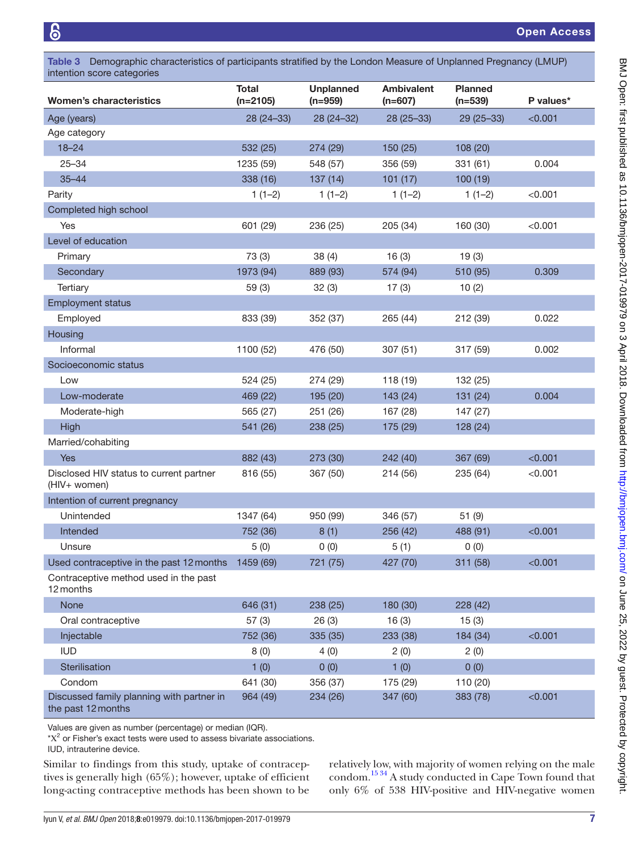<span id="page-6-0"></span>

| Table 3 Demographic characteristics of participants stratified by the London Measure of Unplanned Pregnancy (LMUP)<br>intention score categories |                            |                               |                                |                             |           |  |  |
|--------------------------------------------------------------------------------------------------------------------------------------------------|----------------------------|-------------------------------|--------------------------------|-----------------------------|-----------|--|--|
| <b>Women's characteristics</b>                                                                                                                   | <b>Total</b><br>$(n=2105)$ | <b>Unplanned</b><br>$(n=959)$ | <b>Ambivalent</b><br>$(n=607)$ | <b>Planned</b><br>$(n=539)$ | P values* |  |  |
| Age (years)                                                                                                                                      | 28 (24 - 33)               | 28 (24-32)                    | $28(25-33)$                    | $29(25-33)$                 | < 0.001   |  |  |
| Age category                                                                                                                                     |                            |                               |                                |                             |           |  |  |
| $18 - 24$                                                                                                                                        | 532 (25)                   | 274 (29)                      | 150 (25)                       | 108 (20)                    |           |  |  |
| $25 - 34$                                                                                                                                        | 1235 (59)                  | 548 (57)                      | 356 (59)                       | 331(61)                     | 0.004     |  |  |
| $35 - 44$                                                                                                                                        | 338 (16)                   | 137(14)                       | 101(17)                        | 100(19)                     |           |  |  |
| Parity                                                                                                                                           | $1(1-2)$                   | $1(1-2)$                      | $1(1-2)$                       | $1(1-2)$                    | < 0.001   |  |  |
| Completed high school                                                                                                                            |                            |                               |                                |                             |           |  |  |
| Yes                                                                                                                                              | 601 (29)                   | 236 (25)                      | 205 (34)                       | 160 (30)                    | < 0.001   |  |  |
| Level of education                                                                                                                               |                            |                               |                                |                             |           |  |  |
| Primary                                                                                                                                          | 73 (3)                     | 38(4)                         | 16(3)                          | 19(3)                       |           |  |  |
| Secondary                                                                                                                                        | 1973 (94)                  | 889 (93)                      | 574 (94)                       | 510 (95)                    | 0.309     |  |  |
| Tertiary                                                                                                                                         | 59(3)                      | 32(3)                         | 17(3)                          | 10(2)                       |           |  |  |
| <b>Employment status</b>                                                                                                                         |                            |                               |                                |                             |           |  |  |
| Employed                                                                                                                                         | 833 (39)                   | 352 (37)                      | 265 (44)                       | 212 (39)                    | 0.022     |  |  |
| Housing                                                                                                                                          |                            |                               |                                |                             |           |  |  |
| Informal                                                                                                                                         | 1100 (52)                  | 476 (50)                      | 307(51)                        | 317 (59)                    | 0.002     |  |  |
| Socioeconomic status                                                                                                                             |                            |                               |                                |                             |           |  |  |
| Low                                                                                                                                              | 524 (25)                   | 274 (29)                      | 118 (19)                       | 132 (25)                    |           |  |  |
| Low-moderate                                                                                                                                     | 469 (22)                   | 195 (20)                      | 143 (24)                       | 131 (24)                    | 0.004     |  |  |
| Moderate-high                                                                                                                                    | 565 (27)                   | 251 (26)                      | 167 (28)                       | 147 (27)                    |           |  |  |
| High                                                                                                                                             | 541 (26)                   | 238 (25)                      | 175 (29)                       | 128 (24)                    |           |  |  |
| Married/cohabiting                                                                                                                               |                            |                               |                                |                             |           |  |  |
| <b>Yes</b>                                                                                                                                       | 882 (43)                   | 273 (30)                      | 242 (40)                       | 367 (69)                    | < 0.001   |  |  |
| Disclosed HIV status to current partner<br>(HIV+ women)                                                                                          | 816 (55)                   | 367 (50)                      | 214 (56)                       | 235 (64)                    | < 0.001   |  |  |
| Intention of current pregnancy                                                                                                                   |                            |                               |                                |                             |           |  |  |
| Unintended                                                                                                                                       | 1347 (64)                  | 950 (99)                      | 346 (57)                       | 51(9)                       |           |  |  |
| Intended                                                                                                                                         | 752 (36)                   | 8(1)                          | 256 (42)                       | 488 (91)                    | < 0.001   |  |  |
| Unsure                                                                                                                                           | 5(0)                       | 0(0)                          | 5(1)                           | 0(0)                        |           |  |  |
| Used contraceptive in the past 12 months                                                                                                         | 1459 (69)                  | 721 (75)                      | 427 (70)                       | 311 (58)                    | < 0.001   |  |  |
| Contraceptive method used in the past<br>12 months                                                                                               |                            |                               |                                |                             |           |  |  |
| None                                                                                                                                             | 646 (31)                   | 238 (25)                      | 180 (30)                       | 228 (42)                    |           |  |  |
| Oral contraceptive                                                                                                                               | 57(3)                      | 26(3)                         | 16(3)                          | 15(3)                       |           |  |  |
| Injectable                                                                                                                                       | 752 (36)                   | 335 (35)                      | 233 (38)                       | 184 (34)                    | < 0.001   |  |  |
| <b>IUD</b>                                                                                                                                       | 8(0)                       | 4(0)                          | 2(0)                           | 2(0)                        |           |  |  |
| Sterilisation                                                                                                                                    | 1(0)                       | 0(0)                          | 1(0)                           | 0(0)                        |           |  |  |
| Condom                                                                                                                                           | 641 (30)                   | 356 (37)                      | 175 (29)                       | 110 (20)                    |           |  |  |
| Discussed family planning with partner in<br>the past 12 months                                                                                  | 964 (49)                   | 234 (26)                      | 347 (60)                       | 383 (78)                    | < 0.001   |  |  |

Values are given as number (percentage) or median (IQR).

 $X^2$  or Fisher's exact tests were used to assess bivariate associations.

IUD, intrauterine device.

Similar to findings from this study, uptake of contraceptives is generally high (65%); however, uptake of efficient long-acting contraceptive methods has been shown to be

relatively low, with majority of women relying on the male condom.<sup>[15 34](#page-8-9)</sup> A study conducted in Cape Town found that only 6% of 538 HIV-positive and HIV-negative women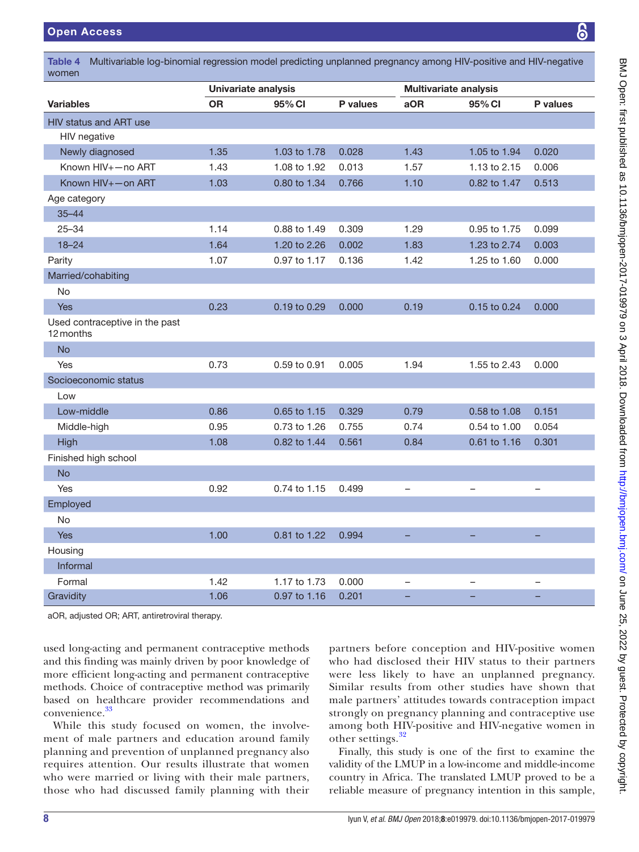<span id="page-7-0"></span>Table 4 Multivariable log-binomial regression model predicting unplanned pregnancy among HIV-positive and HIV-negative women

|                                             | Univariate analysis |              |          | <b>Multivariate analysis</b> |              |                          |  |
|---------------------------------------------|---------------------|--------------|----------|------------------------------|--------------|--------------------------|--|
| <b>Variables</b>                            | <b>OR</b>           | 95% CI       | P values | aOR                          | 95% CI       | P values                 |  |
| <b>HIV status and ART use</b>               |                     |              |          |                              |              |                          |  |
| HIV negative                                |                     |              |          |                              |              |                          |  |
| Newly diagnosed                             | 1.35                | 1.03 to 1.78 | 0.028    | 1.43                         | 1.05 to 1.94 | 0.020                    |  |
| Known HIV+-no ART                           | 1.43                | 1.08 to 1.92 | 0.013    | 1.57                         | 1.13 to 2.15 | 0.006                    |  |
| Known HIV+-on ART                           | 1.03                | 0.80 to 1.34 | 0.766    | 1.10                         | 0.82 to 1.47 | 0.513                    |  |
| Age category                                |                     |              |          |                              |              |                          |  |
| $35 - 44$                                   |                     |              |          |                              |              |                          |  |
| $25 - 34$                                   | 1.14                | 0.88 to 1.49 | 0.309    | 1.29                         | 0.95 to 1.75 | 0.099                    |  |
| $18 - 24$                                   | 1.64                | 1.20 to 2.26 | 0.002    | 1.83                         | 1.23 to 2.74 | 0.003                    |  |
| Parity                                      | 1.07                | 0.97 to 1.17 | 0.136    | 1.42                         | 1.25 to 1.60 | 0.000                    |  |
| Married/cohabiting                          |                     |              |          |                              |              |                          |  |
| No                                          |                     |              |          |                              |              |                          |  |
| Yes                                         | 0.23                | 0.19 to 0.29 | 0.000    | 0.19                         | 0.15 to 0.24 | 0.000                    |  |
| Used contraceptive in the past<br>12 months |                     |              |          |                              |              |                          |  |
| <b>No</b>                                   |                     |              |          |                              |              |                          |  |
| Yes                                         | 0.73                | 0.59 to 0.91 | 0.005    | 1.94                         | 1.55 to 2.43 | 0.000                    |  |
| Socioeconomic status                        |                     |              |          |                              |              |                          |  |
| Low                                         |                     |              |          |                              |              |                          |  |
| Low-middle                                  | 0.86                | 0.65 to 1.15 | 0.329    | 0.79                         | 0.58 to 1.08 | 0.151                    |  |
| Middle-high                                 | 0.95                | 0.73 to 1.26 | 0.755    | 0.74                         | 0.54 to 1.00 | 0.054                    |  |
| High                                        | 1.08                | 0.82 to 1.44 | 0.561    | 0.84                         | 0.61 to 1.16 | 0.301                    |  |
| Finished high school                        |                     |              |          |                              |              |                          |  |
| <b>No</b>                                   |                     |              |          |                              |              |                          |  |
| Yes                                         | 0.92                | 0.74 to 1.15 | 0.499    | $\overline{\phantom{0}}$     | —            | $\overline{\phantom{0}}$ |  |
| Employed                                    |                     |              |          |                              |              |                          |  |
| No                                          |                     |              |          |                              |              |                          |  |
| <b>Yes</b>                                  | 1.00                | 0.81 to 1.22 | 0.994    | $\equiv$                     | ÷,           | $\equiv$                 |  |
| Housing                                     |                     |              |          |                              |              |                          |  |
| Informal                                    |                     |              |          |                              |              |                          |  |
| Formal                                      | 1.42                | 1.17 to 1.73 | 0.000    | $\overline{\phantom{0}}$     | —            | $\overline{\phantom{0}}$ |  |
| Gravidity                                   | 1.06                | 0.97 to 1.16 | 0.201    |                              |              |                          |  |

aOR, adjusted OR; ART, antiretroviral therapy.

used long-acting and permanent contraceptive methods and this finding was mainly driven by poor knowledge of more efficient long-acting and permanent contraceptive methods. Choice of contraceptive method was primarily based on healthcare provider recommendations and convenience.[33](#page-9-13)

While this study focused on women, the involvement of male partners and education around family planning and prevention of unplanned pregnancy also requires attention. Our results illustrate that women who were married or living with their male partners, those who had discussed family planning with their

partners before conception and HIV-positive women who had disclosed their HIV status to their partners were less likely to have an unplanned pregnancy. Similar results from other studies have shown that male partners' attitudes towards contraception impact strongly on pregnancy planning and contraceptive use among both HIV-positive and HIV-negative women in other settings.<sup>[32](#page-9-14)</sup>

Finally, this study is one of the first to examine the validity of the LMUP in a low-income and middle-income country in Africa. The translated LMUP proved to be a reliable measure of pregnancy intention in this sample,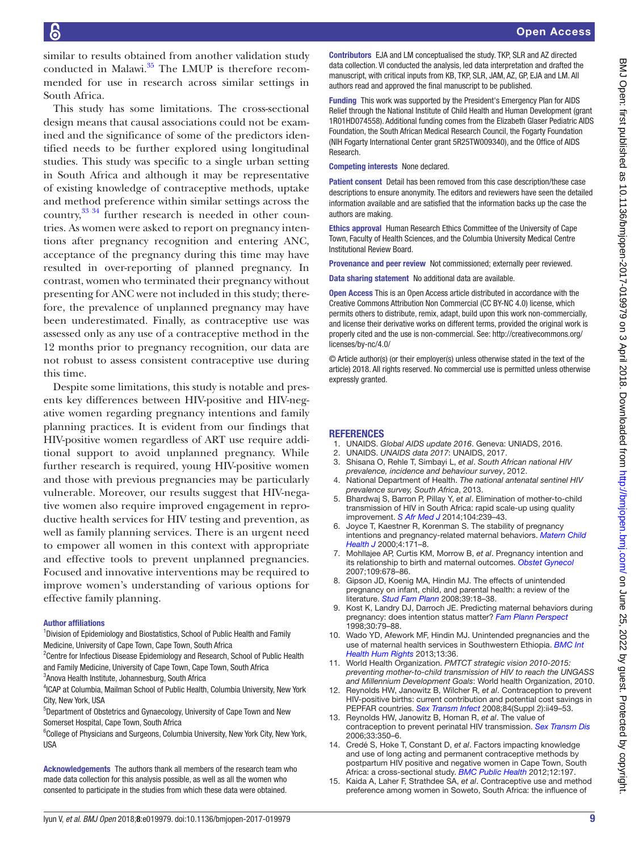similar to results obtained from another validation study conducted in Malawi.<sup>35</sup> The LMUP is therefore recommended for use in research across similar settings in South Africa.

This study has some limitations. The cross-sectional design means that causal associations could not be examined and the significance of some of the predictors identified needs to be further explored using longitudinal studies. This study was specific to a single urban setting in South Africa and although it may be representative of existing knowledge of contraceptive methods, uptake and method preference within similar settings across the country, $33 \times 34$  further research is needed in other countries. As women were asked to report on pregnancy intentions after pregnancy recognition and entering ANC, acceptance of the pregnancy during this time may have resulted in over-reporting of planned pregnancy. In contrast, women who terminated their pregnancy without presenting for ANC were not included in this study; therefore, the prevalence of unplanned pregnancy may have been underestimated. Finally, as contraceptive use was assessed only as any use of a contraceptive method in the 12 months prior to pregnancy recognition, our data are not robust to assess consistent contraceptive use during this time.

Despite some limitations, this study is notable and presents key differences between HIV-positive and HIV-negative women regarding pregnancy intentions and family planning practices. It is evident from our findings that HIV-positive women regardless of ART use require additional support to avoid unplanned pregnancy. While further research is required, young HIV-positive women and those with previous pregnancies may be particularly vulnerable. Moreover, our results suggest that HIV-negative women also require improved engagement in reproductive health services for HIV testing and prevention, as well as family planning services. There is an urgent need to empower all women in this context with appropriate and effective tools to prevent unplanned pregnancies. Focused and innovative interventions may be required to improve women's understanding of various options for effective family planning.

#### Author affiliations

<sup>1</sup> Division of Epidemiology and Biostatistics, School of Public Health and Family Medicine, University of Cape Town, Cape Town, South Africa

<sup>2</sup> Centre for Infectious Disease Epidemiology and Research, School of Public Health and Family Medicine, University of Cape Town, Cape Town, South Africa 3 Anova Health Institute, Johannesburg, South Africa

<sup>4</sup>ICAP at Columbia, Mailman School of Public Health, Columbia University, New York City, New York, USA

5 Department of Obstetrics and Gynaecology, University of Cape Town and New Somerset Hospital, Cape Town, South Africa

<sup>6</sup>College of Physicians and Surgeons, Columbia University, New York City, New York, USA

Acknowledgements The authors thank all members of the research team who made data collection for this analysis possible, as well as all the women who consented to participate in the studies from which these data were obtained.

Contributors EJA and LM conceptualised the study. TKP, SLR and AZ directed data collection. VI conducted the analysis, led data interpretation and drafted the manuscript, with critical inputs from KB, TKP, SLR, JAM, AZ, GP, EJA and LM. All authors read and approved the final manuscript to be published.

Funding This work was supported by the President's Emergency Plan for AIDS Relief through the National Institute of Child Health and Human Development (grant 1R01HD074558). Additional funding comes from the Elizabeth Glaser Pediatric AIDS Foundation, the South African Medical Research Council, the Fogarty Foundation (NIH Fogarty International Center grant 5R25TW009340), and the Office of AIDS Research.

Competing interests None declared.

Patient consent Detail has been removed from this case description/these case descriptions to ensure anonymity. The editors and reviewers have seen the detailed information available and are satisfied that the information backs up the case the authors are making.

Ethics approval Human Research Ethics Committee of the University of Cape Town, Faculty of Health Sciences, and the Columbia University Medical Centre Institutional Review Board.

Provenance and peer review Not commissioned; externally peer reviewed.

Data sharing statement No additional data are available.

Open Access This is an Open Access article distributed in accordance with the Creative Commons Attribution Non Commercial (CC BY-NC 4.0) license, which permits others to distribute, remix, adapt, build upon this work non-commercially, and license their derivative works on different terms, provided the original work is properly cited and the use is non-commercial. See: [http://creativecommons.org/](http://creativecommons.org/licenses/by-nc/4.0/) [licenses/by-nc/4.0/](http://creativecommons.org/licenses/by-nc/4.0/)

© Article author(s) (or their employer(s) unless otherwise stated in the text of the article) 2018. All rights reserved. No commercial use is permitted unless otherwise expressly granted.

## **REFERENCES**

- <span id="page-8-0"></span>1. UNAIDS. *Global AIDS update 2016*. Geneva: UNIADS, 2016.
- <span id="page-8-3"></span>2. UNAIDS. *UNAIDS data 2017*: UNAIDS, 2017.
- <span id="page-8-1"></span>3. Shisana O, Rehle T, Simbayi L, *et al*. *South African national HIV prevalence, incidence and behaviour survey*, 2012.
- <span id="page-8-2"></span>4. National Department of Health. *The national antenatal sentinel HIV prevalence survey, South Africa*, 2013.
- 5. Bhardwaj S, Barron P, Pillay Y, *et al*. Elimination of mother-to-child transmission of HIV in South Africa: rapid scale-up using quality improvement. *[S Afr Med J](http://dx.doi.org/10.7196/SAMJ.7605)* 2014;104:239–43.
- <span id="page-8-4"></span>6. Joyce T, Kaestner R, Korenman S. The stability of pregnancy intentions and pregnancy-related maternal behaviors. *[Matern Child](http://dx.doi.org/10.1023/A:1009571313297)  [Health J](http://dx.doi.org/10.1023/A:1009571313297)* 2000;4:171–8.
- <span id="page-8-5"></span>7. Mohllajee AP, Curtis KM, Morrow B, *et al*. Pregnancy intention and its relationship to birth and maternal outcomes. *[Obstet Gynecol](http://dx.doi.org/10.1097/01.AOG.0000255666.78427.c5)* 2007;109:678–86.
- <span id="page-8-8"></span>8. Gipson JD, Koenig MA, Hindin MJ. The effects of unintended pregnancy on infant, child, and parental health: a review of the literature. *[Stud Fam Plann](http://dx.doi.org/10.1111/j.1728-4465.2008.00148.x)* 2008;39:18–38.
- 9. Kost K, Landry DJ, Darroch JE. Predicting maternal behaviors during pregnancy: does intention status matter? *[Fam Plann Perspect](http://dx.doi.org/10.2307/2991664)* 1998;30:79–88.
- 10. Wado YD, Afework MF, Hindin MJ. Unintended pregnancies and the use of maternal health services in Southwestern Ethiopia. *[BMC Int](http://dx.doi.org/10.1186/1472-698X-13-36)  [Health Hum Rights](http://dx.doi.org/10.1186/1472-698X-13-36)* 2013;13:36.
- <span id="page-8-6"></span>11. World Health Organization. *PMTCT strategic vision 2010-2015: preventing mother-to-child transmission of HIV to reach the UNGASS and Millennium Development Goals*: World health Organization, 2010.
- 12. Reynolds HW, Janowitz B, Wilcher R, *et al*. Contraception to prevent HIV-positive births: current contribution and potential cost savings in PEPFAR countries. *[Sex Transm Infect](http://dx.doi.org/10.1136/sti.2008.030049)* 2008;84(Suppl 2):ii49–53.
- 13. Reynolds HW, Janowitz B, Homan R, *et al*. The value of contraception to prevent perinatal HIV transmission. *[Sex Transm Dis](http://dx.doi.org/10.1097/01.olq.0000194602.01058.e1)* 2006;33:350–6.
- <span id="page-8-7"></span>14. Credé S, Hoke T, Constant D, *et al*. Factors impacting knowledge and use of long acting and permanent contraceptive methods by postpartum HIV positive and negative women in Cape Town, South Africa: a cross-sectional study. *[BMC Public Health](http://dx.doi.org/10.1186/1471-2458-12-197)* 2012;12:197.
- <span id="page-8-9"></span>15. Kaida A, Laher F, Strathdee SA, *et al*. Contraceptive use and method preference among women in Soweto, South Africa: the influence of